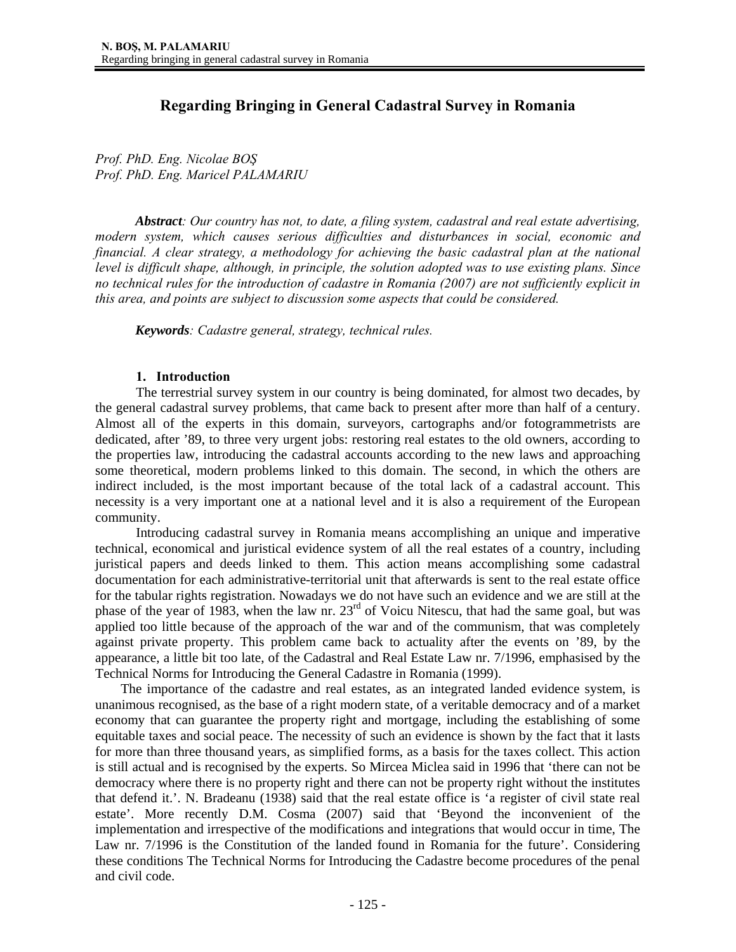# **Regarding Bringing in General Cadastral Survey in Romania**

*Prof. PhD. Eng. Nicolae BOŞ Prof. PhD. Eng. Maricel PALAMARIU* 

*Abstract: Our country has not, to date, a filing system, cadastral and real estate advertising, modern system, which causes serious difficulties and disturbances in social, economic and financial. A clear strategy, a methodology for achieving the basic cadastral plan at the national level is difficult shape, although, in principle, the solution adopted was to use existing plans. Since no technical rules for the introduction of cadastre in Romania (2007) are not sufficiently explicit in this area, and points are subject to discussion some aspects that could be considered.* 

*Keywords: Cadastre general, strategy, technical rules.* 

#### **1. Introduction**

The terrestrial survey system in our country is being dominated, for almost two decades, by the general cadastral survey problems, that came back to present after more than half of a century. Almost all of the experts in this domain, surveyors, cartographs and/or fotogrammetrists are dedicated, after '89, to three very urgent jobs: restoring real estates to the old owners, according to the properties law, introducing the cadastral accounts according to the new laws and approaching some theoretical, modern problems linked to this domain. The second, in which the others are indirect included, is the most important because of the total lack of a cadastral account. This necessity is a very important one at a national level and it is also a requirement of the European community.

Introducing cadastral survey in Romania means accomplishing an unique and imperative technical, economical and juristical evidence system of all the real estates of a country, including juristical papers and deeds linked to them. This action means accomplishing some cadastral documentation for each administrative-territorial unit that afterwards is sent to the real estate office for the tabular rights registration. Nowadays we do not have such an evidence and we are still at the phase of the year of 1983, when the law nr.  $23<sup>rd</sup>$  of Voicu Nitescu, that had the same goal, but was applied too little because of the approach of the war and of the communism, that was completely against private property. This problem came back to actuality after the events on '89, by the appearance, a little bit too late, of the Cadastral and Real Estate Law nr. 7/1996, emphasised by the Technical Norms for Introducing the General Cadastre in Romania (1999).

The importance of the cadastre and real estates, as an integrated landed evidence system, is unanimous recognised, as the base of a right modern state, of a veritable democracy and of a market economy that can guarantee the property right and mortgage, including the establishing of some equitable taxes and social peace. The necessity of such an evidence is shown by the fact that it lasts for more than three thousand years, as simplified forms, as a basis for the taxes collect. This action is still actual and is recognised by the experts. So Mircea Miclea said in 1996 that 'there can not be democracy where there is no property right and there can not be property right without the institutes that defend it.'. N. Bradeanu (1938) said that the real estate office is 'a register of civil state real estate'. More recently D.M. Cosma (2007) said that 'Beyond the inconvenient of the implementation and irrespective of the modifications and integrations that would occur in time, The Law nr. 7/1996 is the Constitution of the landed found in Romania for the future'. Considering these conditions The Technical Norms for Introducing the Cadastre become procedures of the penal and civil code.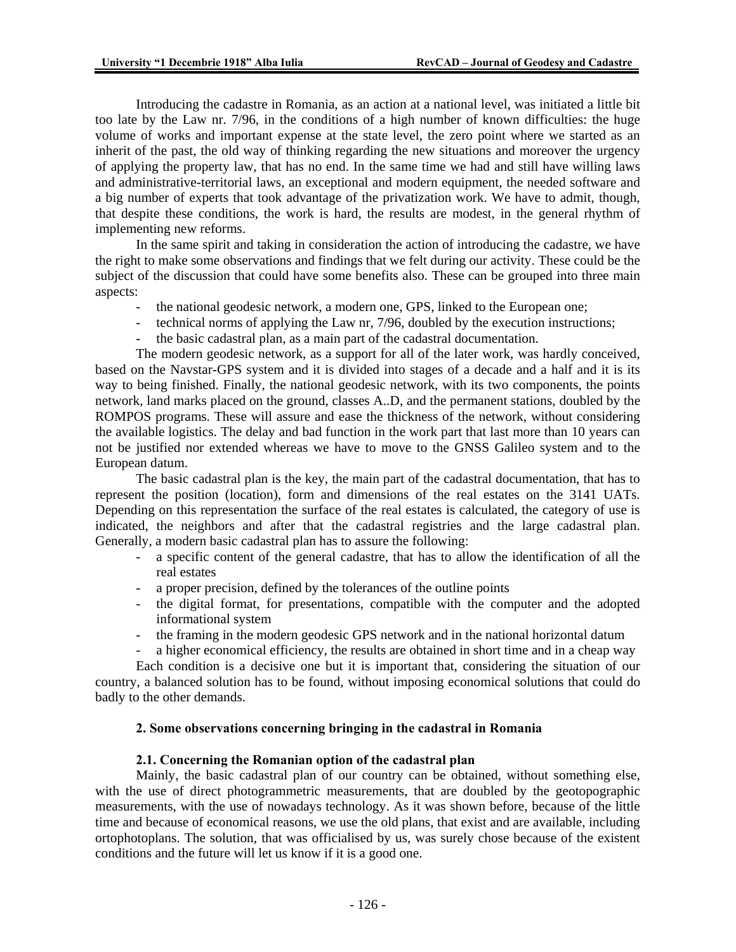Introducing the cadastre in Romania, as an action at a national level, was initiated a little bit too late by the Law nr. 7/96, in the conditions of a high number of known difficulties: the huge volume of works and important expense at the state level, the zero point where we started as an inherit of the past, the old way of thinking regarding the new situations and moreover the urgency of applying the property law, that has no end. In the same time we had and still have willing laws and administrative-territorial laws, an exceptional and modern equipment, the needed software and a big number of experts that took advantage of the privatization work. We have to admit, though, that despite these conditions, the work is hard, the results are modest, in the general rhythm of implementing new reforms.

 In the same spirit and taking in consideration the action of introducing the cadastre, we have the right to make some observations and findings that we felt during our activity. These could be the subject of the discussion that could have some benefits also. These can be grouped into three main aspects:

- the national geodesic network, a modern one, GPS, linked to the European one;
- technical norms of applying the Law nr, 7/96, doubled by the execution instructions;
- the basic cadastral plan, as a main part of the cadastral documentation.

The modern geodesic network, as a support for all of the later work, was hardly conceived, based on the Navstar-GPS system and it is divided into stages of a decade and a half and it is its way to being finished. Finally, the national geodesic network, with its two components, the points network, land marks placed on the ground, classes A..D, and the permanent stations, doubled by the ROMPOS programs. These will assure and ease the thickness of the network, without considering the available logistics. The delay and bad function in the work part that last more than 10 years can not be justified nor extended whereas we have to move to the GNSS Galileo system and to the European datum.

The basic cadastral plan is the key, the main part of the cadastral documentation, that has to represent the position (location), form and dimensions of the real estates on the 3141 UATs. Depending on this representation the surface of the real estates is calculated, the category of use is indicated, the neighbors and after that the cadastral registries and the large cadastral plan. Generally, a modern basic cadastral plan has to assure the following:

- a specific content of the general cadastre, that has to allow the identification of all the real estates
- a proper precision, defined by the tolerances of the outline points
- the digital format, for presentations, compatible with the computer and the adopted informational system
- the framing in the modern geodesic GPS network and in the national horizontal datum
- a higher economical efficiency, the results are obtained in short time and in a cheap way

Each condition is a decisive one but it is important that, considering the situation of our country, a balanced solution has to be found, without imposing economical solutions that could do badly to the other demands.

## **2. Some observations concerning bringing in the cadastral in Romania**

#### **2.1. Concerning the Romanian option of the cadastral plan**

Mainly, the basic cadastral plan of our country can be obtained, without something else, with the use of direct photogrammetric measurements, that are doubled by the geotopographic measurements, with the use of nowadays technology. As it was shown before, because of the little time and because of economical reasons, we use the old plans, that exist and are available, including ortophotoplans. The solution, that was officialised by us, was surely chose because of the existent conditions and the future will let us know if it is a good one.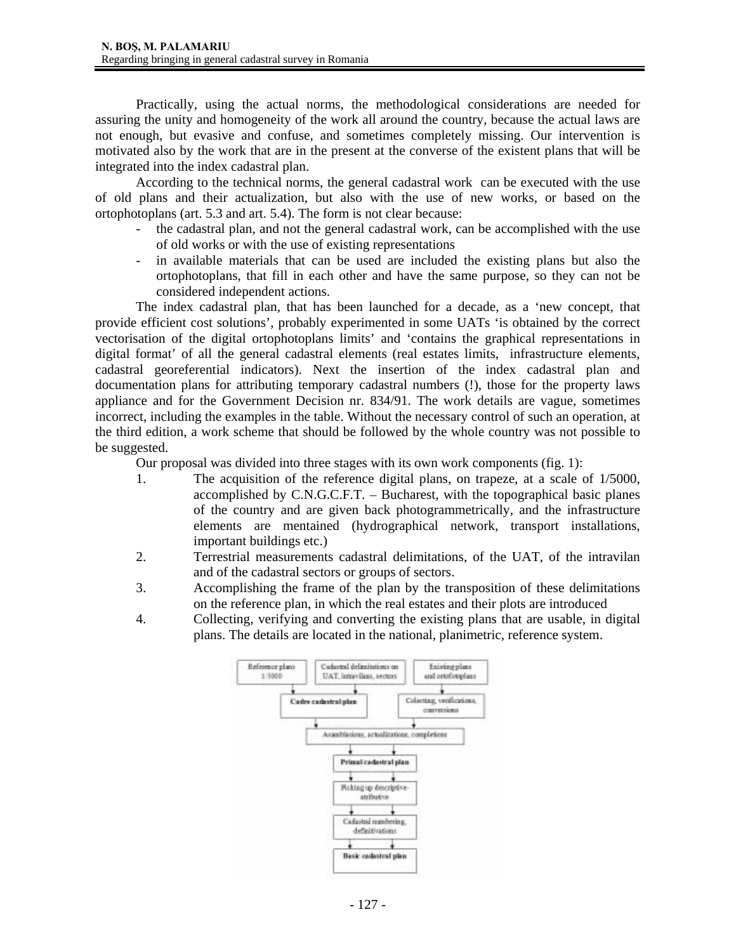Practically, using the actual norms, the methodological considerations are needed for assuring the unity and homogeneity of the work all around the country, because the actual laws are not enough, but evasive and confuse, and sometimes completely missing. Our intervention is motivated also by the work that are in the present at the converse of the existent plans that will be integrated into the index cadastral plan.

According to the technical norms, the general cadastral work can be executed with the use of old plans and their actualization, but also with the use of new works, or based on the ortophotoplans (art. 5.3 and art. 5.4). The form is not clear because:

- the cadastral plan, and not the general cadastral work, can be accomplished with the use of old works or with the use of existing representations
- in available materials that can be used are included the existing plans but also the ortophotoplans, that fill in each other and have the same purpose, so they can not be considered independent actions.

The index cadastral plan, that has been launched for a decade, as a 'new concept, that provide efficient cost solutions', probably experimented in some UATs 'is obtained by the correct vectorisation of the digital ortophotoplans limits' and 'contains the graphical representations in digital format' of all the general cadastral elements (real estates limits, infrastructure elements, cadastral georeferential indicators). Next the insertion of the index cadastral plan and documentation plans for attributing temporary cadastral numbers (!), those for the property laws appliance and for the Government Decision nr. 834/91. The work details are vague, sometimes incorrect, including the examples in the table. Without the necessary control of such an operation, at the third edition, a work scheme that should be followed by the whole country was not possible to be suggested.

Our proposal was divided into three stages with its own work components (fig. 1):

- 1. The acquisition of the reference digital plans, on trapeze, at a scale of 1/5000, accomplished by C.N.G.C.F.T. – Bucharest, with the topographical basic planes of the country and are given back photogrammetrically, and the infrastructure elements are mentained (hydrographical network, transport installations, important buildings etc.)
- 2. Terrestrial measurements cadastral delimitations, of the UAT, of the intravilan and of the cadastral sectors or groups of sectors.
- 3. Accomplishing the frame of the plan by the transposition of these delimitations on the reference plan, in which the real estates and their plots are introduced
- 4. Collecting, verifying and converting the existing plans that are usable, in digital plans. The details are located in the national, planimetric, reference system.

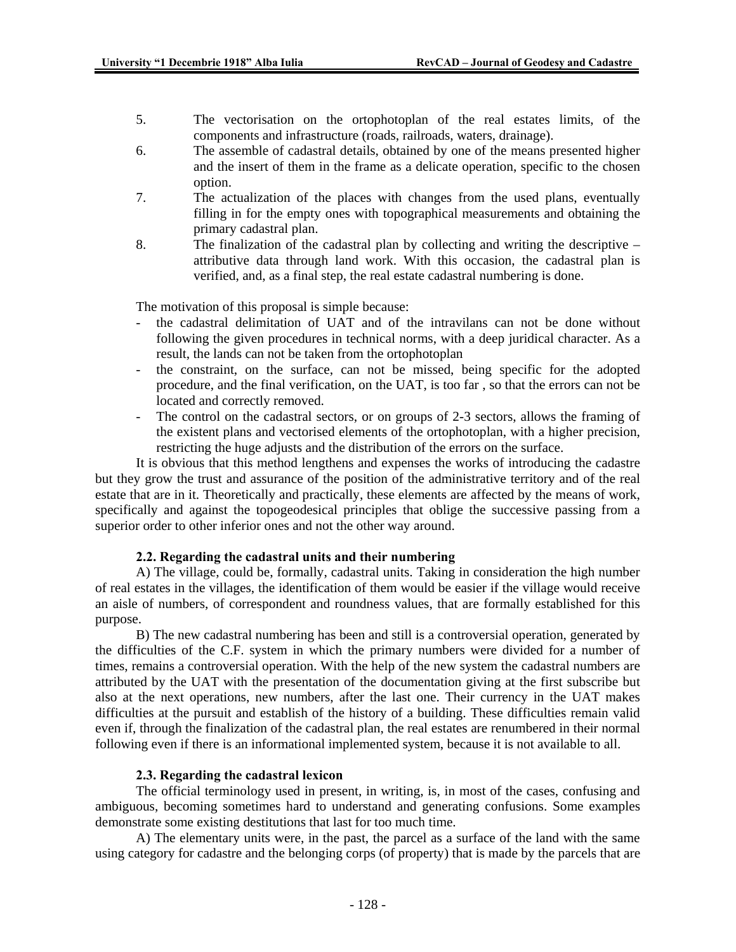- 5. The vectorisation on the ortophotoplan of the real estates limits, of the components and infrastructure (roads, railroads, waters, drainage).
- 6. The assemble of cadastral details, obtained by one of the means presented higher and the insert of them in the frame as a delicate operation, specific to the chosen option.
- 7. The actualization of the places with changes from the used plans, eventually filling in for the empty ones with topographical measurements and obtaining the primary cadastral plan.
- 8. The finalization of the cadastral plan by collecting and writing the descriptive attributive data through land work. With this occasion, the cadastral plan is verified, and, as a final step, the real estate cadastral numbering is done.

The motivation of this proposal is simple because:

- the cadastral delimitation of UAT and of the intravilans can not be done without following the given procedures in technical norms, with a deep juridical character. As a result, the lands can not be taken from the ortophotoplan
- the constraint, on the surface, can not be missed, being specific for the adopted procedure, and the final verification, on the UAT, is too far , so that the errors can not be located and correctly removed.
- The control on the cadastral sectors, or on groups of 2-3 sectors, allows the framing of the existent plans and vectorised elements of the ortophotoplan, with a higher precision, restricting the huge adjusts and the distribution of the errors on the surface.

It is obvious that this method lengthens and expenses the works of introducing the cadastre but they grow the trust and assurance of the position of the administrative territory and of the real estate that are in it. Theoretically and practically, these elements are affected by the means of work, specifically and against the topogeodesical principles that oblige the successive passing from a superior order to other inferior ones and not the other way around.

#### **2.2. Regarding the cadastral units and their numbering**

A) The village, could be, formally, cadastral units. Taking in consideration the high number of real estates in the villages, the identification of them would be easier if the village would receive an aisle of numbers, of correspondent and roundness values, that are formally established for this purpose.

B) The new cadastral numbering has been and still is a controversial operation, generated by the difficulties of the C.F. system in which the primary numbers were divided for a number of times, remains a controversial operation. With the help of the new system the cadastral numbers are attributed by the UAT with the presentation of the documentation giving at the first subscribe but also at the next operations, new numbers, after the last one. Their currency in the UAT makes difficulties at the pursuit and establish of the history of a building. These difficulties remain valid even if, through the finalization of the cadastral plan, the real estates are renumbered in their normal following even if there is an informational implemented system, because it is not available to all.

#### **2.3. Regarding the cadastral lexicon**

The official terminology used in present, in writing, is, in most of the cases, confusing and ambiguous, becoming sometimes hard to understand and generating confusions. Some examples demonstrate some existing destitutions that last for too much time.

A) The elementary units were, in the past, the parcel as a surface of the land with the same using category for cadastre and the belonging corps (of property) that is made by the parcels that are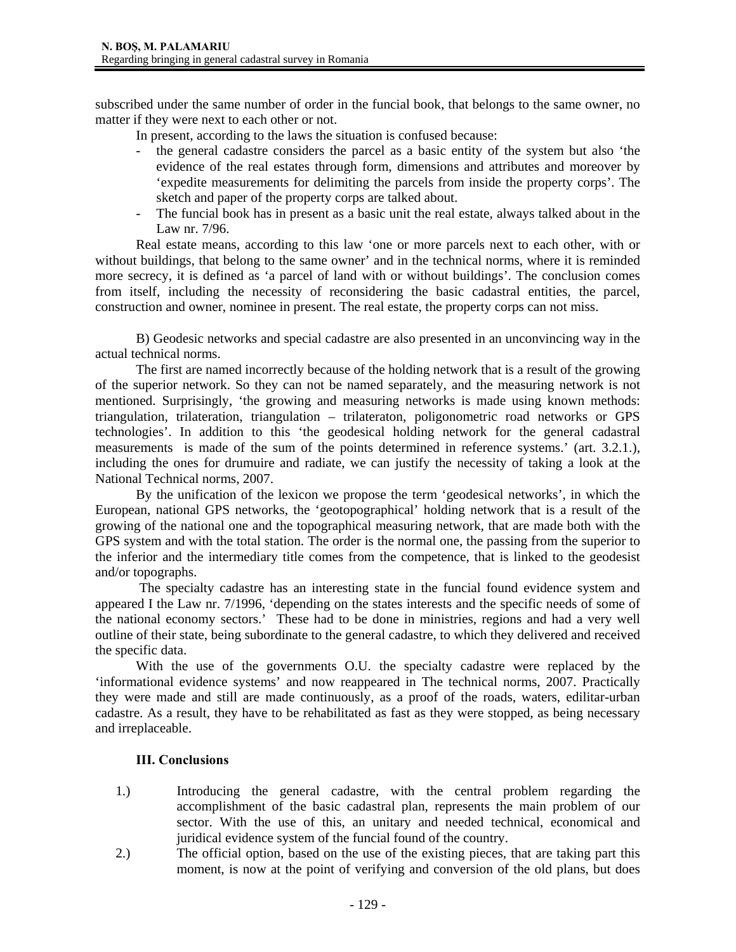subscribed under the same number of order in the funcial book, that belongs to the same owner, no matter if they were next to each other or not.

In present, according to the laws the situation is confused because:

- the general cadastre considers the parcel as a basic entity of the system but also 'the evidence of the real estates through form, dimensions and attributes and moreover by 'expedite measurements for delimiting the parcels from inside the property corps'. The sketch and paper of the property corps are talked about.
- The funcial book has in present as a basic unit the real estate, always talked about in the Law nr. 7/96.

Real estate means, according to this law 'one or more parcels next to each other, with or without buildings, that belong to the same owner' and in the technical norms, where it is reminded more secrecy, it is defined as 'a parcel of land with or without buildings'. The conclusion comes from itself, including the necessity of reconsidering the basic cadastral entities, the parcel, construction and owner, nominee in present. The real estate, the property corps can not miss.

B) Geodesic networks and special cadastre are also presented in an unconvincing way in the actual technical norms.

The first are named incorrectly because of the holding network that is a result of the growing of the superior network. So they can not be named separately, and the measuring network is not mentioned. Surprisingly, 'the growing and measuring networks is made using known methods: triangulation, trilateration, triangulation – trilateraton, poligonometric road networks or GPS technologies'. In addition to this 'the geodesical holding network for the general cadastral measurements is made of the sum of the points determined in reference systems.' (art. 3.2.1.), including the ones for drumuire and radiate, we can justify the necessity of taking a look at the National Technical norms, 2007.

By the unification of the lexicon we propose the term 'geodesical networks', in which the European, national GPS networks, the 'geotopographical' holding network that is a result of the growing of the national one and the topographical measuring network, that are made both with the GPS system and with the total station. The order is the normal one, the passing from the superior to the inferior and the intermediary title comes from the competence, that is linked to the geodesist and/or topographs.

 The specialty cadastre has an interesting state in the funcial found evidence system and appeared I the Law nr. 7/1996, 'depending on the states interests and the specific needs of some of the national economy sectors.' These had to be done in ministries, regions and had a very well outline of their state, being subordinate to the general cadastre, to which they delivered and received the specific data.

With the use of the governments O.U. the specialty cadastre were replaced by the 'informational evidence systems' and now reappeared in The technical norms, 2007. Practically they were made and still are made continuously, as a proof of the roads, waters, edilitar-urban cadastre. As a result, they have to be rehabilitated as fast as they were stopped, as being necessary and irreplaceable.

## **III. Conclusions**

- 1.) Introducing the general cadastre, with the central problem regarding the accomplishment of the basic cadastral plan, represents the main problem of our sector. With the use of this, an unitary and needed technical, economical and juridical evidence system of the funcial found of the country.
- 2.) The official option, based on the use of the existing pieces, that are taking part this moment, is now at the point of verifying and conversion of the old plans, but does